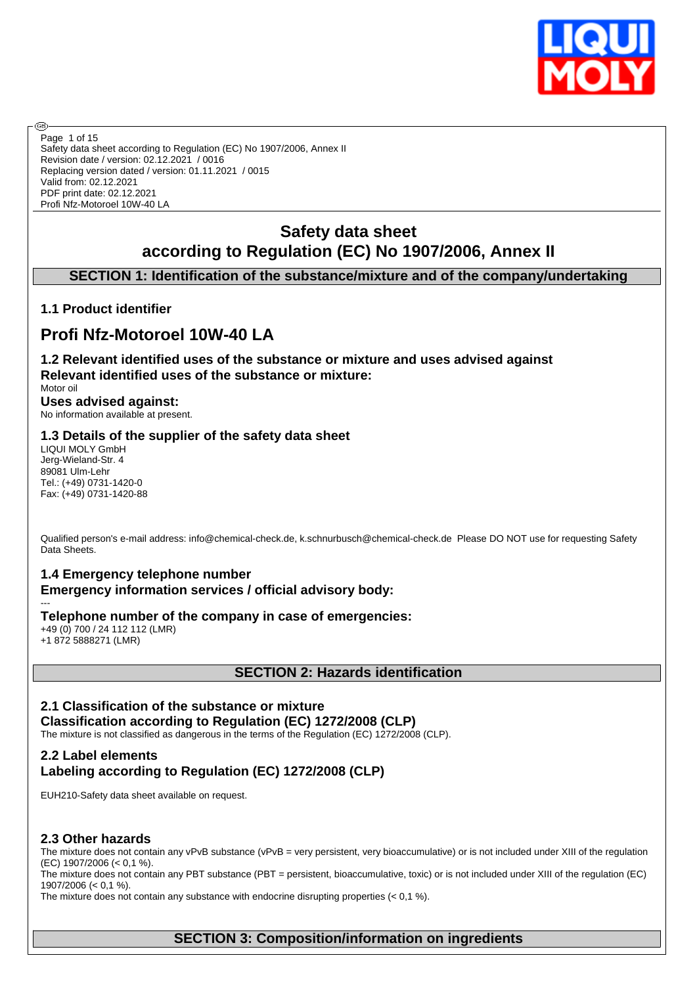

Safety data sheet according to Regulation (EC) No 1907/2006, Annex II Revision date / version: 02.12.2021 / 0016 Replacing version dated / version: 01.11.2021 / 0015 Valid from: 02.12.2021 PDF print date: 02.12.2021 Profi Nfz-Motoroel 10W-40 LA Page 1 of 15

# **Safety data sheet according to Regulation (EC) No 1907/2006, Annex II**

# **SECTION 1: Identification of the substance/mixture and of the company/undertaking**

# **1.1 Product identifier**

അ

# **Profi Nfz-Motoroel 10W-40 LA**

**1.2 Relevant identified uses of the substance or mixture and uses advised against Relevant identified uses of the substance or mixture:** Motor oil

#### **Uses advised against:** No information available at present.

# **1.3 Details of the supplier of the safety data sheet**

LIQUI MOLY GmbH Jerg-Wieland-Str. 4 89081 Ulm-Lehr Tel.: (+49) 0731-1420-0 Fax: (+49) 0731-1420-88

Qualified person's e-mail address: info@chemical-check.de, k.schnurbusch@chemical-check.de Please DO NOT use for requesting Safety Data Sheets.

# **1.4 Emergency telephone number**

**Emergency information services / official advisory body:** ---

**Telephone number of the company in case of emergencies:**

+49 (0) 700 / 24 112 112 (LMR) +1 872 5888271 (LMR)

# **SECTION 2: Hazards identification**

# **2.1 Classification of the substance or mixture**

**Classification according to Regulation (EC) 1272/2008 (CLP)** The mixture is not classified as dangerous in the terms of the Regulation (EC) 1272/2008 (CLP).

# **2.2 Label elements Labeling according to Regulation (EC) 1272/2008 (CLP)**

EUH210-Safety data sheet available on request.

#### **2.3 Other hazards**

The mixture does not contain any vPvB substance (vPvB = very persistent, very bioaccumulative) or is not included under XIII of the regulation (EC) 1907/2006 (< 0,1 %).

The mixture does not contain any PBT substance (PBT = persistent, bioaccumulative, toxic) or is not included under XIII of the regulation (EC) 1907/2006 (< 0,1 %).

The mixture does not contain any substance with endocrine disrupting properties  $(< 0.1 \%)$ .

# **SECTION 3: Composition/information on ingredients**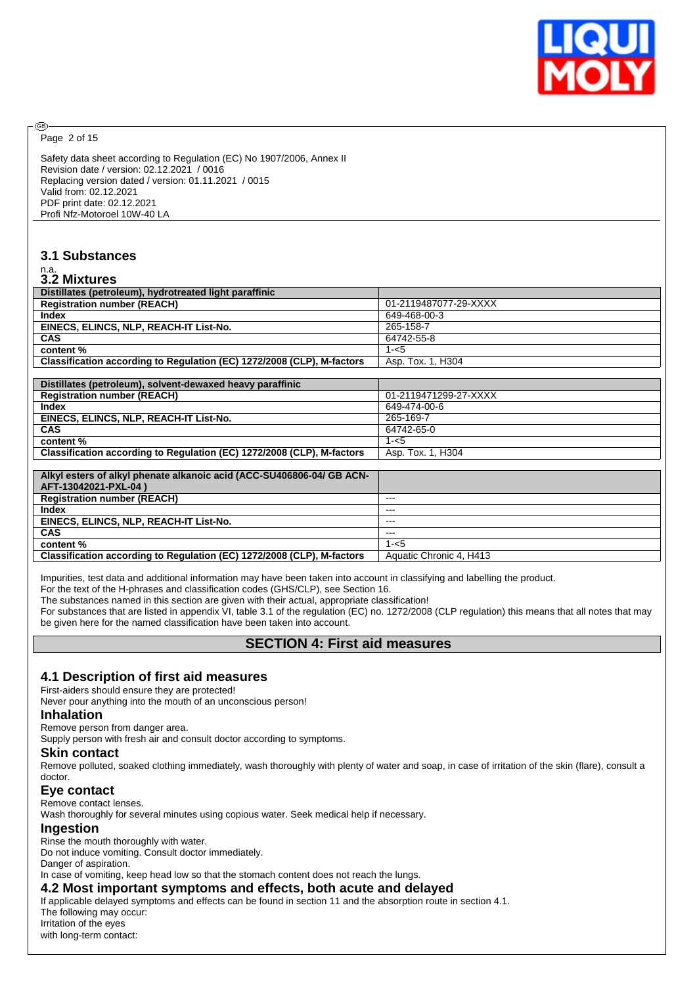

Page 2 of 15

ඹ

Safety data sheet according to Regulation (EC) No 1907/2006, Annex II Revision date / version: 02.12.2021 / 0016 Replacing version dated / version: 01.11.2021 / 0015 Valid from: 02.12.2021 PDF print date: 02.12.2021 Profi Nfz-Motoroel 10W-40 LA

# **3.1 Substances**

# n.a. **3.2 Mixtures**

| J.Z MIJALUI CS                                                         |                         |
|------------------------------------------------------------------------|-------------------------|
| Distillates (petroleum), hydrotreated light paraffinic                 |                         |
| <b>Registration number (REACH)</b>                                     | 01-2119487077-29-XXXX   |
| <b>Index</b>                                                           | 649-468-00-3            |
| EINECS, ELINCS, NLP, REACH-IT List-No.                                 | 265-158-7               |
| <b>CAS</b>                                                             | 64742-55-8              |
| content %                                                              | $1 - 5$                 |
| Classification according to Regulation (EC) 1272/2008 (CLP), M-factors | Asp. Tox. 1, H304       |
|                                                                        |                         |
| Distillates (petroleum), solvent-dewaxed heavy paraffinic              |                         |
| <b>Registration number (REACH)</b>                                     | 01-2119471299-27-XXXX   |
| <b>Index</b>                                                           | 649-474-00-6            |
| EINECS, ELINCS, NLP, REACH-IT List-No.                                 | 265-169-7               |
| <b>CAS</b>                                                             | 64742-65-0              |
| content %                                                              | $1 - 5$                 |
| Classification according to Regulation (EC) 1272/2008 (CLP), M-factors | Asp. Tox. 1, H304       |
|                                                                        |                         |
| Alkyl esters of alkyl phenate alkanoic acid (ACC-SU406806-04/ GB ACN-  |                         |
| AFT-13042021-PXL-04)                                                   |                         |
| <b>Registration number (REACH)</b>                                     | ---                     |
| <b>Index</b>                                                           | ---                     |
| EINECS, ELINCS, NLP, REACH-IT List-No.                                 | ---                     |
| <b>CAS</b>                                                             | $---$                   |
| content %                                                              | $1 - 5$                 |
| Classification according to Regulation (EC) 1272/2008 (CLP), M-factors | Aquatic Chronic 4, H413 |
|                                                                        |                         |

Impurities, test data and additional information may have been taken into account in classifying and labelling the product.

For the text of the H-phrases and classification codes (GHS/CLP), see Section 16.

The substances named in this section are given with their actual, appropriate classification!

For substances that are listed in appendix VI, table 3.1 of the regulation (EC) no. 1272/2008 (CLP regulation) this means that all notes that may be given here for the named classification have been taken into account.

# **SECTION 4: First aid measures**

#### **4.1 Description of first aid measures**

First-aiders should ensure they are protected!

Never pour anything into the mouth of an unconscious person!

#### **Inhalation**

Remove person from danger area.

Supply person with fresh air and consult doctor according to symptoms.

#### **Skin contact**

Remove polluted, soaked clothing immediately, wash thoroughly with plenty of water and soap, in case of irritation of the skin (flare), consult a doctor.

#### **Eye contact**

Remove contact lenses.

Wash thoroughly for several minutes using copious water. Seek medical help if necessary.

#### **Ingestion**

Rinse the mouth thoroughly with water.

Do not induce vomiting. Consult doctor immediately.

Danger of aspiration.

In case of vomiting, keep head low so that the stomach content does not reach the lungs.

#### **4.2 Most important symptoms and effects, both acute and delayed**

If applicable delayed symptoms and effects can be found in section 11 and the absorption route in section 4.1. The following may occur: Irritation of the eyes

with long-term contact: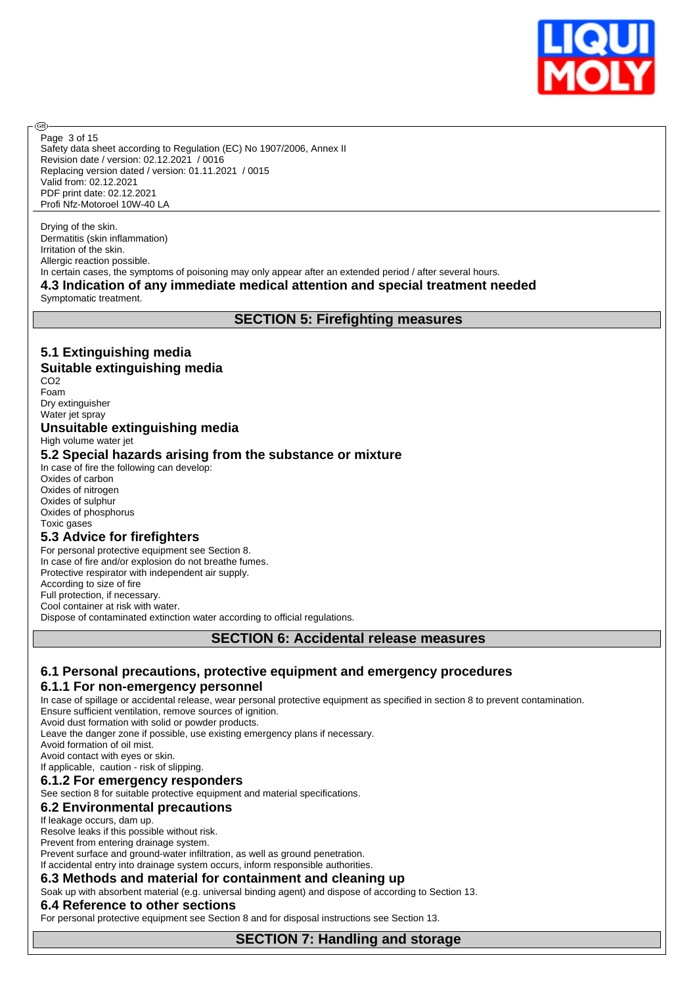

Safety data sheet according to Regulation (EC) No 1907/2006, Annex II Revision date / version: 02.12.2021 / 0016 Replacing version dated / version: 01.11.2021 / 0015 Valid from: 02.12.2021 PDF print date: 02.12.2021 Profi Nfz-Motoroel 10W-40 LA Page 3 of 15

Drying of the skin. Dermatitis (skin inflammation) Irritation of the skin. Allergic reaction possible. In certain cases, the symptoms of poisoning may only appear after an extended period / after several hours. **4.3 Indication of any immediate medical attention and special treatment needed**

Symptomatic treatment.

അ

# **SECTION 5: Firefighting measures**

# **5.1 Extinguishing media**

### **Suitable extinguishing media**

CO2 Foam Dry extinguisher Water jet spray

### **Unsuitable extinguishing media**

High volume water jet

#### **5.2 Special hazards arising from the substance or mixture**

In case of fire the following can develop: Oxides of carbon Oxides of nitrogen Oxides of sulphur Oxides of phosphorus Toxic gases

#### **5.3 Advice for firefighters**

For personal protective equipment see Section 8. In case of fire and/or explosion do not breathe fumes. Protective respirator with independent air supply. According to size of fire Full protection, if necessary. Cool container at risk with water. Dispose of contaminated extinction water according to official regulations.

## **SECTION 6: Accidental release measures**

# **6.1 Personal precautions, protective equipment and emergency procedures**

# **6.1.1 For non-emergency personnel**

In case of spillage or accidental release, wear personal protective equipment as specified in section 8 to prevent contamination. Ensure sufficient ventilation, remove sources of ignition.

Avoid dust formation with solid or powder products.

Leave the danger zone if possible, use existing emergency plans if necessary.

Avoid formation of oil mist.

Avoid contact with eyes or skin.

#### If applicable, caution - risk of slipping. **6.1.2 For emergency responders**

See section 8 for suitable protective equipment and material specifications.

# **6.2 Environmental precautions**

#### If leakage occurs, dam up.

Resolve leaks if this possible without risk.

Prevent from entering drainage system.

Prevent surface and ground-water infiltration, as well as ground penetration.

If accidental entry into drainage system occurs, inform responsible authorities.

#### **6.3 Methods and material for containment and cleaning up**

Soak up with absorbent material (e.g. universal binding agent) and dispose of according to Section 13.

#### **6.4 Reference to other sections**

For personal protective equipment see Section 8 and for disposal instructions see Section 13.

**SECTION 7: Handling and storage**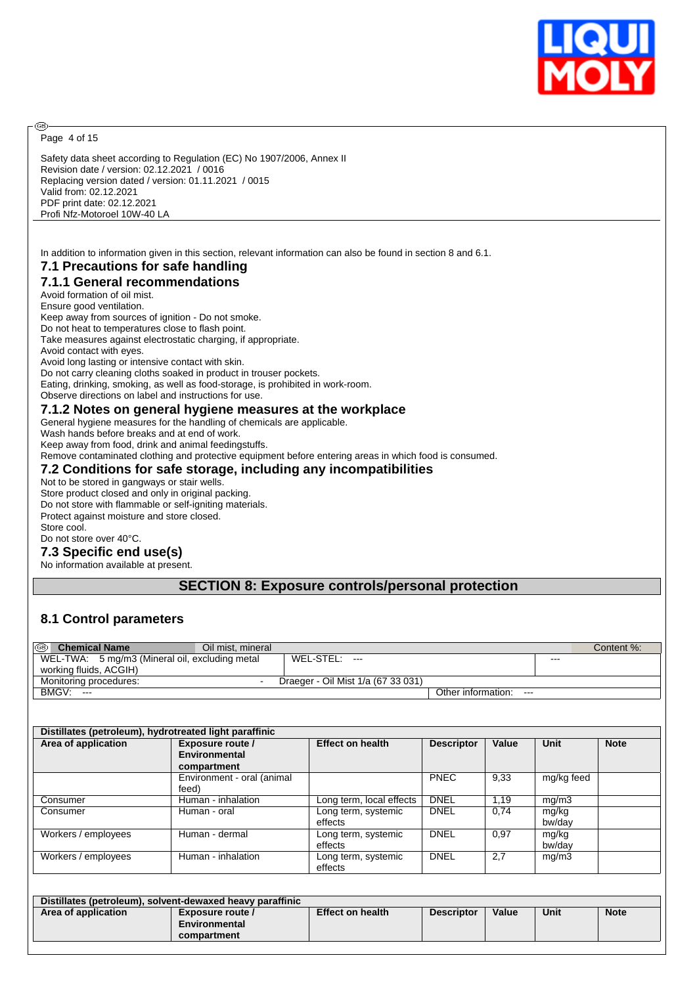

Page 4 of 15

ඹ

Safety data sheet according to Regulation (EC) No 1907/2006, Annex II Revision date / version: 02.12.2021 / 0016 Replacing version dated / version: 01.11.2021 / 0015 Valid from: 02.12.2021 PDF print date: 02.12.2021 Profi Nfz-Motoroel 10W-40 LA

In addition to information given in this section, relevant information can also be found in section 8 and 6.1.

# **7.1 Precautions for safe handling**

**7.1.1 General recommendations**

Avoid formation of oil mist. Ensure good ventilation. Keep away from sources of ignition - Do not smoke. Do not heat to temperatures close to flash point. Take measures against electrostatic charging, if appropriate. Avoid contact with eyes. Avoid long lasting or intensive contact with skin. Do not carry cleaning cloths soaked in product in trouser pockets. Eating, drinking, smoking, as well as food-storage, is prohibited in work-room. Observe directions on label and instructions for use.

#### **7.1.2 Notes on general hygiene measures at the workplace**

General hygiene measures for the handling of chemicals are applicable.

Wash hands before breaks and at end of work.

Keep away from food, drink and animal feedingstuffs.

Remove contaminated clothing and protective equipment before entering areas in which food is consumed.

#### **7.2 Conditions for safe storage, including any incompatibilities**

Not to be stored in gangways or stair wells. Store product closed and only in original packing. Do not store with flammable or self-igniting materials. Protect against moisture and store closed. Store cool. Do not store over 40°C.

#### **7.3 Specific end use(s)**

No information available at present.

#### **SECTION 8: Exposure controls/personal protection**

#### **8.1 Control parameters**

| $\circledcirc$<br><b>Chemical Name</b>         | Oil mist, mineral |                                    |                               |         | Content %: |
|------------------------------------------------|-------------------|------------------------------------|-------------------------------|---------|------------|
| WEL-TWA: 5 mg/m3 (Mineral oil, excluding metal |                   | WEL-STEL:<br>$---$                 |                               | $- - -$ |            |
| working fluids, ACGIH)                         |                   |                                    |                               |         |            |
| Monitoring procedures:                         |                   | Draeger - Oil Mist 1/a (67 33 031) |                               |         |            |
| BMGV:<br>$---$                                 |                   |                                    | Other information:<br>$- - -$ |         |            |

| Distillates (petroleum), hydrotreated light paraffinic |                            |                          |                   |       |             |             |  |  |  |  |
|--------------------------------------------------------|----------------------------|--------------------------|-------------------|-------|-------------|-------------|--|--|--|--|
| Area of application                                    | Exposure route /           | <b>Effect on health</b>  | <b>Descriptor</b> | Value | <b>Unit</b> | <b>Note</b> |  |  |  |  |
|                                                        | Environmental              |                          |                   |       |             |             |  |  |  |  |
|                                                        | compartment                |                          |                   |       |             |             |  |  |  |  |
|                                                        | Environment - oral (animal |                          | <b>PNEC</b>       | 9,33  | mg/kg feed  |             |  |  |  |  |
|                                                        | feed)                      |                          |                   |       |             |             |  |  |  |  |
| Consumer                                               | Human - inhalation         | Long term, local effects | <b>DNEL</b>       | 1.19  | mg/m3       |             |  |  |  |  |
| Consumer                                               | Human - oral               | Long term, systemic      | <b>DNEL</b>       | 0.74  | mg/kg       |             |  |  |  |  |
|                                                        |                            | effects                  |                   |       | bw/dav      |             |  |  |  |  |
| Workers / employees                                    | Human - dermal             | Long term, systemic      | <b>DNEL</b>       | 0.97  | mg/kg       |             |  |  |  |  |
|                                                        |                            | effects                  |                   |       | bw/dav      |             |  |  |  |  |
| Workers / employees                                    | Human - inhalation         | Long term, systemic      | <b>DNEL</b>       | 2,7   | mg/m3       |             |  |  |  |  |
|                                                        |                            | effects                  |                   |       |             |             |  |  |  |  |

| Distillates (petroleum), solvent-dewaxed heavy paraffinic |                  |                         |                   |       |      |             |  |  |  |  |
|-----------------------------------------------------------|------------------|-------------------------|-------------------|-------|------|-------------|--|--|--|--|
| Area of application                                       | Exposure route / | <b>Effect on health</b> | <b>Descriptor</b> | Value | Unit | <b>Note</b> |  |  |  |  |
|                                                           | Environmental    |                         |                   |       |      |             |  |  |  |  |
|                                                           | compartment      |                         |                   |       |      |             |  |  |  |  |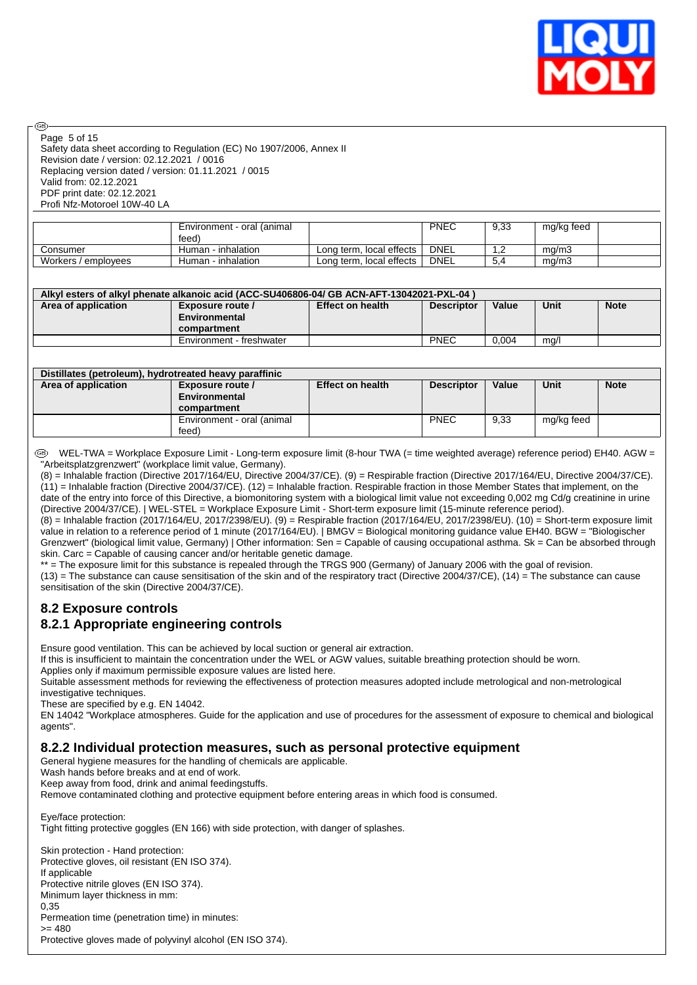

#### Page 5 of 15

രി

Safety data sheet according to Regulation (EC) No 1907/2006, Annex II Revision date / version: 02.12.2021 / 0016 Replacing version dated / version: 01.11.2021 / 0015 Valid from: 02.12.2021 PDF print date: 02.12.2021 Profi Nfz-Motoroel 10W-40 LA

|                     | Environment - oral (animal<br>feed) |                          | PNEC        | 9,33 | mg/kg feed |  |
|---------------------|-------------------------------------|--------------------------|-------------|------|------------|--|
| ∴onsumer            | Human - inhalation                  | Long term, local effects | <b>DNEL</b> | ے .  | ma/m3      |  |
| Workers / employees | Human - inhalation                  | Long term, local effects | <b>DNEL</b> | 5.4  | mg/m3      |  |

#### **Alkyl esters of alkyl phenate alkanoic acid (ACC-SU406806-04/ GB ACN-AFT-13042021-PXL-04 )**

| Area of application | Exposure route /<br>Environmental<br>compartment | <b>Effect on health</b> | <b>Descriptor</b> | Value | Unit | <b>Note</b> |
|---------------------|--------------------------------------------------|-------------------------|-------------------|-------|------|-------------|
|                     |                                                  |                         |                   |       |      |             |
|                     | Environment - freshwater                         |                         | <b>PNEC</b>       | 0.004 | mg/l |             |

| Distillates (petroleum), hydrotreated heavy paraffinic |                            |                         |                   |       |            |             |  |  |  |  |
|--------------------------------------------------------|----------------------------|-------------------------|-------------------|-------|------------|-------------|--|--|--|--|
| Area of application                                    | Exposure route /           | <b>Effect on health</b> | <b>Descriptor</b> | Value | Unit       | <b>Note</b> |  |  |  |  |
|                                                        | Environmental              |                         |                   |       |            |             |  |  |  |  |
|                                                        | compartment                |                         |                   |       |            |             |  |  |  |  |
|                                                        | Environment - oral (animal |                         | <b>PNEC</b>       | 9,33  | mg/kg feed |             |  |  |  |  |
|                                                        | feed)                      |                         |                   |       |            |             |  |  |  |  |

WEL-TWA = Workplace Exposure Limit - Long-term exposure limit (8-hour TWA (= time weighted average) reference period) EH40. AGW = "Arbeitsplatzgrenzwert" (workplace limit value, Germany).

(8) = Inhalable fraction (Directive 2017/164/EU, Directive 2004/37/CE). (9) = Respirable fraction (Directive 2017/164/EU, Directive 2004/37/CE). (11) = Inhalable fraction (Directive 2004/37/CE). (12) = Inhalable fraction. Respirable fraction in those Member States that implement, on the date of the entry into force of this Directive, a biomonitoring system with a biological limit value not exceeding 0,002 mg Cd/g creatinine in urine (Directive 2004/37/CE). | WEL-STEL = Workplace Exposure Limit - Short-term exposure limit (15-minute reference period).

(8) = Inhalable fraction (2017/164/EU, 2017/2398/EU). (9) = Respirable fraction (2017/164/EU, 2017/2398/EU). (10) = Short-term exposure limit value in relation to a reference period of 1 minute (2017/164/EU). | BMGV = Biological monitoring guidance value EH40. BGW = "Biologischer Grenzwert" (biological limit value, Germany) | Other information: Sen = Capable of causing occupational asthma. Sk = Can be absorbed through skin. Carc = Capable of causing cancer and/or heritable genetic damage.

\*\* = The exposure limit for this substance is repealed through the TRGS 900 (Germany) of January 2006 with the goal of revision.

 $(13)$  = The substance can cause sensitisation of the skin and of the respiratory tract (Directive 2004/37/CE),  $(14)$  = The substance can cause sensitisation of the skin (Directive 2004/37/CE).

#### **8.2 Exposure controls 8.2.1 Appropriate engineering controls**

Ensure good ventilation. This can be achieved by local suction or general air extraction.

If this is insufficient to maintain the concentration under the WEL or AGW values, suitable breathing protection should be worn. Applies only if maximum permissible exposure values are listed here.

Suitable assessment methods for reviewing the effectiveness of protection measures adopted include metrological and non-metrological investigative techniques.

These are specified by e.g. EN 14042.

EN 14042 "Workplace atmospheres. Guide for the application and use of procedures for the assessment of exposure to chemical and biological agents"

#### **8.2.2 Individual protection measures, such as personal protective equipment**

General hygiene measures for the handling of chemicals are applicable.

Wash hands before breaks and at end of work.

Keep away from food, drink and animal feedingstuffs.

Remove contaminated clothing and protective equipment before entering areas in which food is consumed.

Eye/face protection:

Tight fitting protective goggles (EN 166) with side protection, with danger of splashes.

Skin protection - Hand protection: Protective gloves, oil resistant (EN ISO 374). If applicable Protective nitrile gloves (EN ISO 374). Minimum layer thickness in mm: 0,35 Permeation time (penetration time) in minutes:  $= 480$ Protective gloves made of polyvinyl alcohol (EN ISO 374).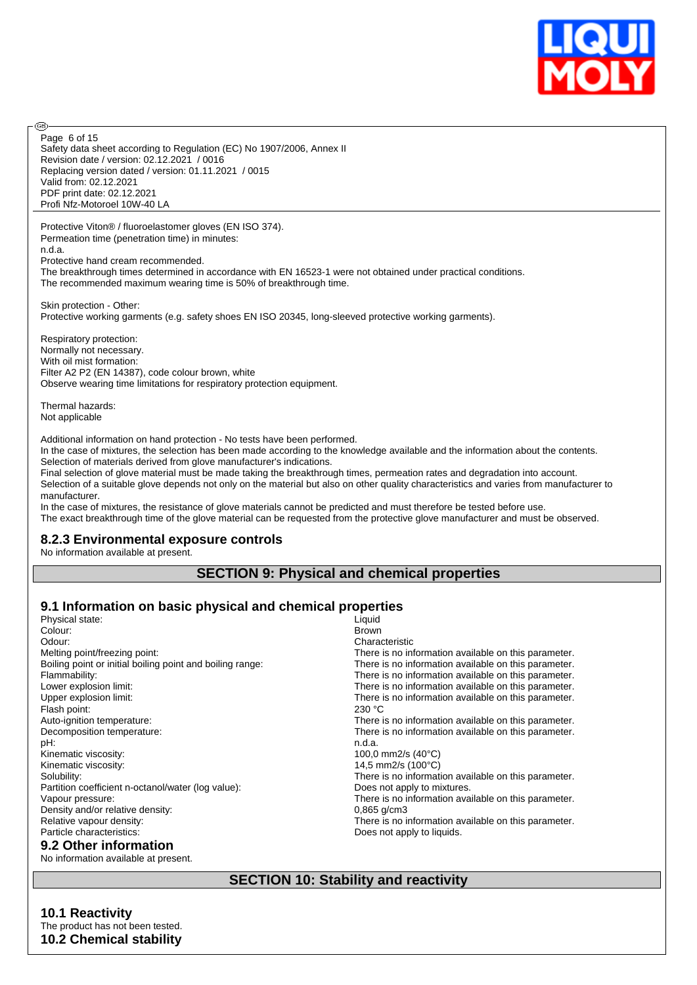

Safety data sheet according to Regulation (EC) No 1907/2006, Annex II Revision date / version: 02.12.2021 / 0016 Replacing version dated / version: 01.11.2021 / 0015 Valid from: 02.12.2021 PDF print date: 02.12.2021 Profi Nfz-Motoroel 10W-40 LA Page 6 of 15

Protective Viton® / fluoroelastomer gloves (EN ISO 374). Permeation time (penetration time) in minutes: n.d.a. Protective hand cream recommended.

The breakthrough times determined in accordance with EN 16523-1 were not obtained under practical conditions.

The recommended maximum wearing time is 50% of breakthrough time.

Skin protection - Other: Protective working garments (e.g. safety shoes EN ISO 20345, long-sleeved protective working garments).

Respiratory protection: Normally not necessary. With oil mist formation: Filter A2 P2 (EN 14387), code colour brown, white Observe wearing time limitations for respiratory protection equipment.

Thermal hazards: Not applicable

൹

Additional information on hand protection - No tests have been performed.

In the case of mixtures, the selection has been made according to the knowledge available and the information about the contents. Selection of materials derived from glove manufacturer's indications.

Final selection of glove material must be made taking the breakthrough times, permeation rates and degradation into account. Selection of a suitable glove depends not only on the material but also on other quality characteristics and varies from manufacturer to manufacturer.

In the case of mixtures, the resistance of glove materials cannot be predicted and must therefore be tested before use. The exact breakthrough time of the glove material can be requested from the protective glove manufacturer and must be observed.

#### **8.2.3 Environmental exposure controls**

No information available at present.

#### **SECTION 9: Physical and chemical properties**

# **9.1 Information on basic physical and chemical properties**

| Physical state:                                           | Liquid                                               |
|-----------------------------------------------------------|------------------------------------------------------|
| Colour:                                                   | <b>Brown</b>                                         |
| Odour:                                                    | Characteristic                                       |
| Melting point/freezing point:                             | There is no information available on this parameter. |
| Boiling point or initial boiling point and boiling range: | There is no information available on this parameter. |
| Flammability:                                             | There is no information available on this parameter. |
| Lower explosion limit:                                    | There is no information available on this parameter. |
| Upper explosion limit:                                    | There is no information available on this parameter. |
| Flash point:                                              | 230 °C                                               |
| Auto-ignition temperature:                                | There is no information available on this parameter. |
| Decomposition temperature:                                | There is no information available on this parameter. |
| pH:                                                       | n.d.a.                                               |
| Kinematic viscosity:                                      | 100,0 mm2/s $(40^{\circ}C)$                          |
| Kinematic viscosity:                                      | 14,5 mm2/s (100°C)                                   |
| Solubility:                                               | There is no information available on this parameter. |
| Partition coefficient n-octanol/water (log value):        | Does not apply to mixtures.                          |
| Vapour pressure:                                          | There is no information available on this parameter. |
| Density and/or relative density:                          | $0,865$ g/cm3                                        |
| Relative vapour density:                                  | There is no information available on this parameter. |
| Particle characteristics:                                 | Does not apply to liquids.                           |
| 9.2 Other information                                     |                                                      |

# No information available at present.

# **SECTION 10: Stability and reactivity**

#### **10.1 Reactivity** The product has not been tested. **10.2 Chemical stability**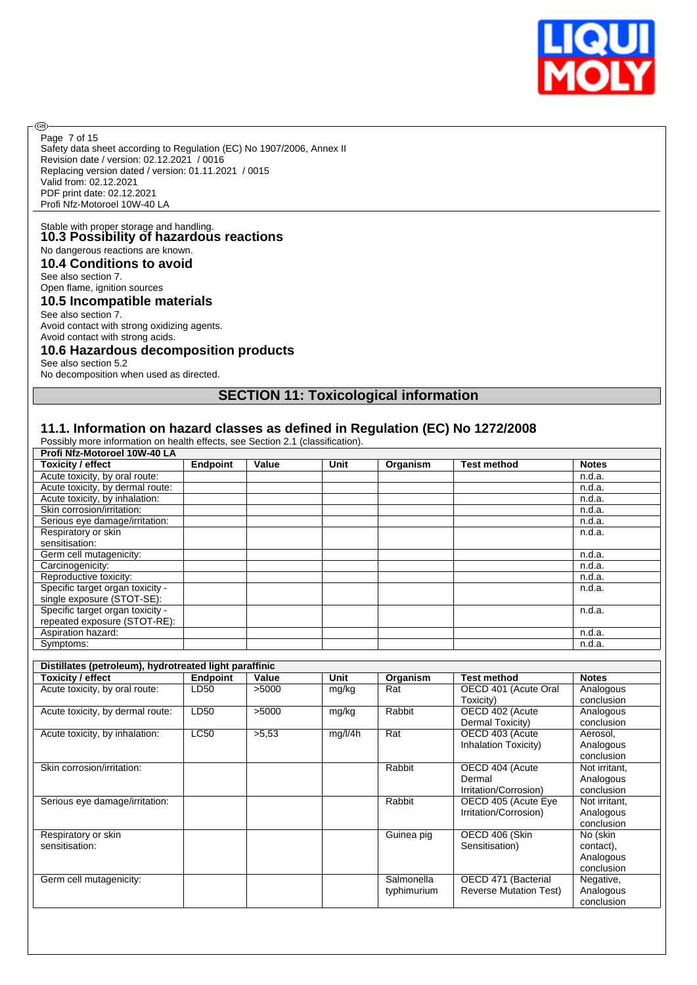

Safety data sheet according to Regulation (EC) No 1907/2006, Annex II Revision date / version: 02.12.2021 / 0016 Replacing version dated / version: 01.11.2021 / 0015 Valid from: 02.12.2021 PDF print date: 02.12.2021 Profi Nfz-Motoroel 10W-40 LA Page 7 of 15

# Stable with proper storage and handling. **10.3 Possibility of hazardous reactions** No dangerous reactions are known.

**10.4 Conditions to avoid**

See also section 7.

**®** 

Open flame, ignition sources

#### **10.5 Incompatible materials**

See also section 7. Avoid contact with strong oxidizing agents.

#### Avoid contact with strong acids. **10.6 Hazardous decomposition products**

See also section 5.2

No decomposition when used as directed.

# **SECTION 11: Toxicological information**

#### **11.1. Information on hazard classes as defined in Regulation (EC) No 1272/2008**

Possibly more information on health effects, see Section 2.1 (classification).

| Profi Nfz-Motoroel 10W-40 LA     |                 |       |      |          |                    |              |
|----------------------------------|-----------------|-------|------|----------|--------------------|--------------|
| <b>Toxicity / effect</b>         | <b>Endpoint</b> | Value | Unit | Organism | <b>Test method</b> | <b>Notes</b> |
| Acute toxicity, by oral route:   |                 |       |      |          |                    | n.d.a.       |
| Acute toxicity, by dermal route: |                 |       |      |          |                    | n.d.a.       |
| Acute toxicity, by inhalation:   |                 |       |      |          |                    | n.d.a.       |
| Skin corrosion/irritation:       |                 |       |      |          |                    | n.d.a.       |
| Serious eye damage/irritation:   |                 |       |      |          |                    | n.d.a.       |
| Respiratory or skin              |                 |       |      |          |                    | n.d.a.       |
| sensitisation:                   |                 |       |      |          |                    |              |
| Germ cell mutagenicity:          |                 |       |      |          |                    | n.d.a.       |
| Carcinogenicity:                 |                 |       |      |          |                    | n.d.a.       |
| Reproductive toxicity:           |                 |       |      |          |                    | n.d.a.       |
| Specific target organ toxicity - |                 |       |      |          |                    | n.d.a.       |
| single exposure (STOT-SE):       |                 |       |      |          |                    |              |
| Specific target organ toxicity - |                 |       |      |          |                    | n.d.a.       |
| repeated exposure (STOT-RE):     |                 |       |      |          |                    |              |
| Aspiration hazard:               |                 |       |      |          |                    | n.d.a.       |
| Symptoms:                        |                 |       |      |          |                    | n.d.a.       |

| Distillates (petroleum), hydrotreated light paraffinic |                 |       |         |             |                               |               |  |  |  |
|--------------------------------------------------------|-----------------|-------|---------|-------------|-------------------------------|---------------|--|--|--|
| <b>Toxicity / effect</b>                               | <b>Endpoint</b> | Value | Unit    | Organism    | <b>Test method</b>            | <b>Notes</b>  |  |  |  |
| Acute toxicity, by oral route:                         | LD50            | >5000 | mg/kg   | Rat         | OECD 401 (Acute Oral          | Analogous     |  |  |  |
|                                                        |                 |       |         |             | Toxicity)                     | conclusion    |  |  |  |
| Acute toxicity, by dermal route:                       | LD50            | >5000 | mg/kg   | Rabbit      | OECD 402 (Acute               | Analogous     |  |  |  |
|                                                        |                 |       |         |             | Dermal Toxicity)              | conclusion    |  |  |  |
| Acute toxicity, by inhalation:                         | LC50            | >5.53 | mg/l/4h | Rat         | OECD 403 (Acute               | Aerosol,      |  |  |  |
|                                                        |                 |       |         |             | Inhalation Toxicity)          | Analogous     |  |  |  |
|                                                        |                 |       |         |             |                               | conclusion    |  |  |  |
| Skin corrosion/irritation:                             |                 |       |         | Rabbit      | OECD 404 (Acute               | Not irritant. |  |  |  |
|                                                        |                 |       |         |             | Dermal                        | Analogous     |  |  |  |
|                                                        |                 |       |         |             | Irritation/Corrosion)         | conclusion    |  |  |  |
| Serious eye damage/irritation:                         |                 |       |         | Rabbit      | OECD 405 (Acute Eye           | Not irritant, |  |  |  |
|                                                        |                 |       |         |             | Irritation/Corrosion)         | Analogous     |  |  |  |
|                                                        |                 |       |         |             |                               | conclusion    |  |  |  |
| Respiratory or skin                                    |                 |       |         | Guinea pig  | OECD 406 (Skin                | No (skin      |  |  |  |
| sensitisation:                                         |                 |       |         |             | Sensitisation)                | contact),     |  |  |  |
|                                                        |                 |       |         |             |                               | Analogous     |  |  |  |
|                                                        |                 |       |         |             |                               | conclusion    |  |  |  |
| Germ cell mutagenicity:                                |                 |       |         | Salmonella  | OECD 471 (Bacterial           | Negative,     |  |  |  |
|                                                        |                 |       |         | typhimurium | <b>Reverse Mutation Test)</b> | Analogous     |  |  |  |
|                                                        |                 |       |         |             |                               | conclusion    |  |  |  |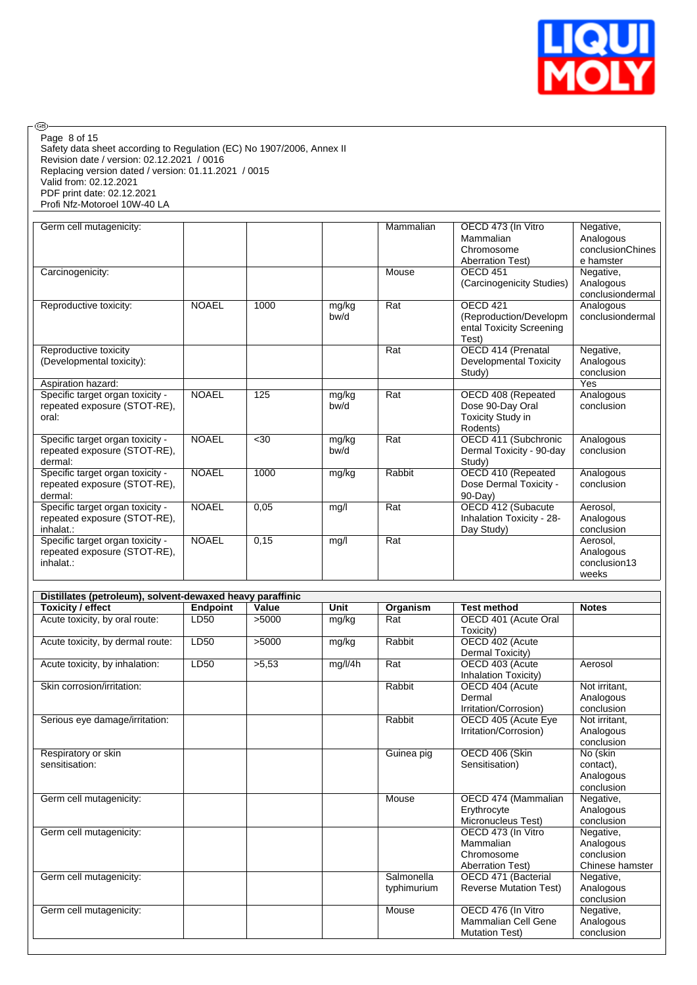

 $\circledcirc$ Page 8 of 15

Safety data sheet according to Regulation (EC) No 1907/2006, Annex II Revision date / version: 02.12.2021 / 0016 Replacing version dated / version: 01.11.2021 / 0015 Valid from: 02.12.2021 PDF print date: 02.12.2021 Profi Nfz-Motoroel 10W-40 LA

| Germ cell mutagenicity:          |              |                  |       | Mammalian | OECD 473 (In Vitro        | Negative,        |
|----------------------------------|--------------|------------------|-------|-----------|---------------------------|------------------|
|                                  |              |                  |       |           | Mammalian                 | Analogous        |
|                                  |              |                  |       |           | Chromosome                | conclusionChines |
|                                  |              |                  |       |           | <b>Aberration Test)</b>   | e hamster        |
| Carcinogenicity:                 |              |                  |       | Mouse     | OECD <sub>451</sub>       | Negative,        |
|                                  |              |                  |       |           | (Carcinogenicity Studies) | Analogous        |
|                                  |              |                  |       |           |                           | conclusiondermal |
| Reproductive toxicity:           | <b>NOAEL</b> | 1000             | mg/kg | Rat       | OECD 421                  | Analogous        |
|                                  |              |                  | bw/d  |           | (Reproduction/Developm    | conclusiondermal |
|                                  |              |                  |       |           | ental Toxicity Screening  |                  |
|                                  |              |                  |       |           | Test)                     |                  |
| Reproductive toxicity            |              |                  |       | Rat       | OECD 414 (Prenatal        | Negative,        |
| (Developmental toxicity):        |              |                  |       |           | Developmental Toxicity    | Analogous        |
|                                  |              |                  |       |           | Study)                    | conclusion       |
| Aspiration hazard:               |              |                  |       |           |                           | Yes              |
| Specific target organ toxicity - | <b>NOAEL</b> | $\overline{125}$ | mg/kg | Rat       | OECD 408 (Repeated        | Analogous        |
| repeated exposure (STOT-RE),     |              |                  | bw/d  |           | Dose 90-Day Oral          | conclusion       |
| oral:                            |              |                  |       |           | Toxicity Study in         |                  |
|                                  |              |                  |       |           | Rodents)                  |                  |
| Specific target organ toxicity - | <b>NOAEL</b> | $30$             | mg/kg | Rat       | OECD 411 (Subchronic      | Analogous        |
| repeated exposure (STOT-RE),     |              |                  | bw/d  |           | Dermal Toxicity - 90-day  | conclusion       |
| dermal:                          |              |                  |       |           | Study)                    |                  |
| Specific target organ toxicity - | <b>NOAEL</b> | 1000             | mg/kg | Rabbit    | OECD 410 (Repeated        | Analogous        |
| repeated exposure (STOT-RE),     |              |                  |       |           | Dose Dermal Toxicity -    | conclusion       |
| dermal:                          |              |                  |       |           | $90-Dav$                  |                  |
| Specific target organ toxicity - | <b>NOAEL</b> | 0,05             | mg/l  | Rat       | OECD 412 (Subacute        | Aerosol,         |
| repeated exposure (STOT-RE),     |              |                  |       |           | Inhalation Toxicity - 28- | Analogous        |
| inhalat.:                        |              |                  |       |           | Day Study)                | conclusion       |
| Specific target organ toxicity - | <b>NOAEL</b> | 0,15             | mg/l  | Rat       |                           | Aerosol.         |
| repeated exposure (STOT-RE).     |              |                  |       |           |                           | Analogous        |
| inhalat.:                        |              |                  |       |           |                           | conclusion13     |
|                                  |              |                  |       |           |                           | weeks            |

| Distillates (petroleum), solvent-dewaxed heavy paraffinic |                 |       |         |             |                               |                 |
|-----------------------------------------------------------|-----------------|-------|---------|-------------|-------------------------------|-----------------|
| <b>Toxicity / effect</b>                                  | <b>Endpoint</b> | Value | Unit    | Organism    | <b>Test method</b>            | <b>Notes</b>    |
| Acute toxicity, by oral route:                            | LD50            | >5000 | mg/kg   | Rat         | OECD 401 (Acute Oral          |                 |
|                                                           |                 |       |         |             | Toxicity)                     |                 |
| Acute toxicity, by dermal route:                          | LD50            | >5000 | mg/kg   | Rabbit      | OECD 402 (Acute               |                 |
|                                                           |                 |       |         |             | Dermal Toxicity)              |                 |
| Acute toxicity, by inhalation:                            | LD50            | >5,53 | mg/l/4h | Rat         | OECD 403 (Acute               | Aerosol         |
|                                                           |                 |       |         |             | Inhalation Toxicity)          |                 |
| Skin corrosion/irritation:                                |                 |       |         | Rabbit      | OECD 404 (Acute               | Not irritant.   |
|                                                           |                 |       |         |             | Dermal                        | Analogous       |
|                                                           |                 |       |         |             | Irritation/Corrosion)         | conclusion      |
| Serious eye damage/irritation:                            |                 |       |         | Rabbit      | OECD 405 (Acute Eye           | Not irritant,   |
|                                                           |                 |       |         |             | Irritation/Corrosion)         | Analogous       |
|                                                           |                 |       |         |             |                               | conclusion      |
| Respiratory or skin                                       |                 |       |         | Guinea pig  | OECD 406 (Skin                | No (skin        |
| sensitisation:                                            |                 |       |         |             | Sensitisation)                | contact),       |
|                                                           |                 |       |         |             |                               | Analogous       |
|                                                           |                 |       |         |             |                               | conclusion      |
| Germ cell mutagenicity:                                   |                 |       |         | Mouse       | OECD 474 (Mammalian           | Negative,       |
|                                                           |                 |       |         |             | Erythrocyte                   | Analogous       |
|                                                           |                 |       |         |             | Micronucleus Test)            | conclusion      |
| Germ cell mutagenicity:                                   |                 |       |         |             | OECD 473 (In Vitro            | Negative,       |
|                                                           |                 |       |         |             | Mammalian                     | Analogous       |
|                                                           |                 |       |         |             | Chromosome                    | conclusion      |
|                                                           |                 |       |         |             | <b>Aberration Test)</b>       | Chinese hamster |
| Germ cell mutagenicity:                                   |                 |       |         | Salmonella  | OECD 471 (Bacterial           | Negative,       |
|                                                           |                 |       |         | typhimurium | <b>Reverse Mutation Test)</b> | Analogous       |
|                                                           |                 |       |         |             |                               | conclusion      |
| Germ cell mutagenicity:                                   |                 |       |         | Mouse       | OECD 476 (In Vitro            | Negative,       |
|                                                           |                 |       |         |             | Mammalian Cell Gene           | Analogous       |
|                                                           |                 |       |         |             | <b>Mutation Test)</b>         | conclusion      |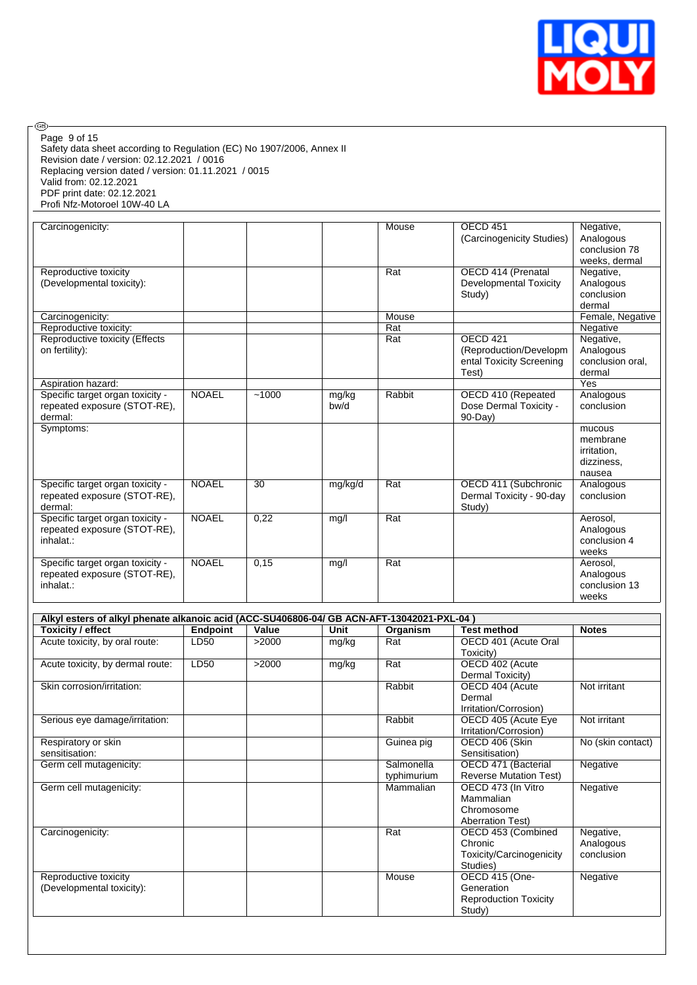

Safety data sheet according to Regulation (EC) No 1907/2006, Annex II Revision date / version: 02.12.2021 / 0016 Replacing version dated / version: 01.11.2021 / 0015 Valid from: 02.12.2021 PDF print date: 02.12.2021 Profi Nfz-Motoroel 10W-40 LA Page 9 of 15

 $\circledcirc$ 

| Carcinogenicity:                                                              |              |       |               | Mouse  | OECD <sub>451</sub><br>(Carcinogenicity Studies)                                   | Negative,<br>Analogous<br>conclusion 78<br>weeks, dermal  |
|-------------------------------------------------------------------------------|--------------|-------|---------------|--------|------------------------------------------------------------------------------------|-----------------------------------------------------------|
| Reproductive toxicity<br>(Developmental toxicity):                            |              |       |               | Rat    | OECD 414 (Prenatal<br>Developmental Toxicity<br>Study)                             | Negative,<br>Analogous<br>conclusion<br>dermal            |
| Carcinogenicity:                                                              |              |       |               | Mouse  |                                                                                    | Female, Negative                                          |
| Reproductive toxicity:                                                        |              |       |               | Rat    |                                                                                    | Negative                                                  |
| Reproductive toxicity (Effects<br>on fertility):                              |              |       |               | Rat    | OECD <sub>421</sub><br>(Reproduction/Developm<br>ental Toxicity Screening<br>Test) | Negative,<br>Analogous<br>conclusion oral,<br>dermal      |
| Aspiration hazard:                                                            |              |       |               |        |                                                                                    | Yes                                                       |
| Specific target organ toxicity -<br>repeated exposure (STOT-RE).<br>dermal:   | <b>NOAEL</b> | ~1000 | mg/kg<br>bw/d | Rabbit | OECD 410 (Repeated<br>Dose Dermal Toxicity -<br>$90-Day$                           | Analogous<br>conclusion                                   |
| Symptoms:                                                                     |              |       |               |        |                                                                                    | mucous<br>membrane<br>irritation,<br>dizziness,<br>nausea |
| Specific target organ toxicity -<br>repeated exposure (STOT-RE),<br>dermal:   | <b>NOAEL</b> | 30    | mg/kg/d       | Rat    | OECD 411 (Subchronic<br>Dermal Toxicity - 90-day<br>Study)                         | Analogous<br>conclusion                                   |
| Specific target organ toxicity -<br>repeated exposure (STOT-RE).<br>inhalat.: | <b>NOAEL</b> | 0,22  | mg/l          | Rat    |                                                                                    | Aerosol,<br>Analogous<br>conclusion 4<br>weeks            |
| Specific target organ toxicity -<br>repeated exposure (STOT-RE).<br>inhalat.: | <b>NOAEL</b> | 0,15  | mg/l          | Rat    |                                                                                    | Aerosol,<br>Analogous<br>conclusion 13<br>weeks           |

| Alkyl esters of alkyl phenate alkanoic acid (ACC-SU406806-04/ GB ACN-AFT-13042021-PXL-04) |                 |       |       |             |                               |                   |  |  |  |
|-------------------------------------------------------------------------------------------|-----------------|-------|-------|-------------|-------------------------------|-------------------|--|--|--|
| Toxicity / effect                                                                         | <b>Endpoint</b> | Value | Unit  | Organism    | <b>Test method</b>            | <b>Notes</b>      |  |  |  |
| Acute toxicity, by oral route:                                                            | LD50            | >2000 | mg/kg | Rat         | OECD 401 (Acute Oral          |                   |  |  |  |
|                                                                                           |                 |       |       |             | Toxicity)                     |                   |  |  |  |
| Acute toxicity, by dermal route:                                                          | LD50            | >2000 | mg/kg | Rat         | OECD 402 (Acute               |                   |  |  |  |
|                                                                                           |                 |       |       |             | Dermal Toxicity)              |                   |  |  |  |
| Skin corrosion/irritation:                                                                |                 |       |       | Rabbit      | OECD 404 (Acute               | Not irritant      |  |  |  |
|                                                                                           |                 |       |       |             | Dermal                        |                   |  |  |  |
|                                                                                           |                 |       |       |             | Irritation/Corrosion)         |                   |  |  |  |
| Serious eye damage/irritation:                                                            |                 |       |       | Rabbit      | OECD 405 (Acute Eye           | Not irritant      |  |  |  |
|                                                                                           |                 |       |       |             | Irritation/Corrosion)         |                   |  |  |  |
| Respiratory or skin                                                                       |                 |       |       | Guinea pig  | OECD 406 (Skin                | No (skin contact) |  |  |  |
| sensitisation:                                                                            |                 |       |       |             | Sensitisation)                |                   |  |  |  |
| Germ cell mutagenicity:                                                                   |                 |       |       | Salmonella  | OECD 471 (Bacterial           | Negative          |  |  |  |
|                                                                                           |                 |       |       | typhimurium | <b>Reverse Mutation Test)</b> |                   |  |  |  |
| Germ cell mutagenicity:                                                                   |                 |       |       | Mammalian   | OECD 473 (In Vitro            | Negative          |  |  |  |
|                                                                                           |                 |       |       |             | Mammalian                     |                   |  |  |  |
|                                                                                           |                 |       |       |             | Chromosome                    |                   |  |  |  |
|                                                                                           |                 |       |       |             | <b>Aberration Test)</b>       |                   |  |  |  |
| Carcinogenicity:                                                                          |                 |       |       | Rat         | OECD 453 (Combined            | Negative,         |  |  |  |
|                                                                                           |                 |       |       |             | Chronic                       | Analogous         |  |  |  |
|                                                                                           |                 |       |       |             | Toxicity/Carcinogenicity      | conclusion        |  |  |  |
|                                                                                           |                 |       |       |             | Studies)                      |                   |  |  |  |
| Reproductive toxicity                                                                     |                 |       |       | Mouse       | OECD 415 (One-                | Negative          |  |  |  |
| (Developmental toxicity):                                                                 |                 |       |       |             | Generation                    |                   |  |  |  |
|                                                                                           |                 |       |       |             | <b>Reproduction Toxicity</b>  |                   |  |  |  |
|                                                                                           |                 |       |       |             | Study)                        |                   |  |  |  |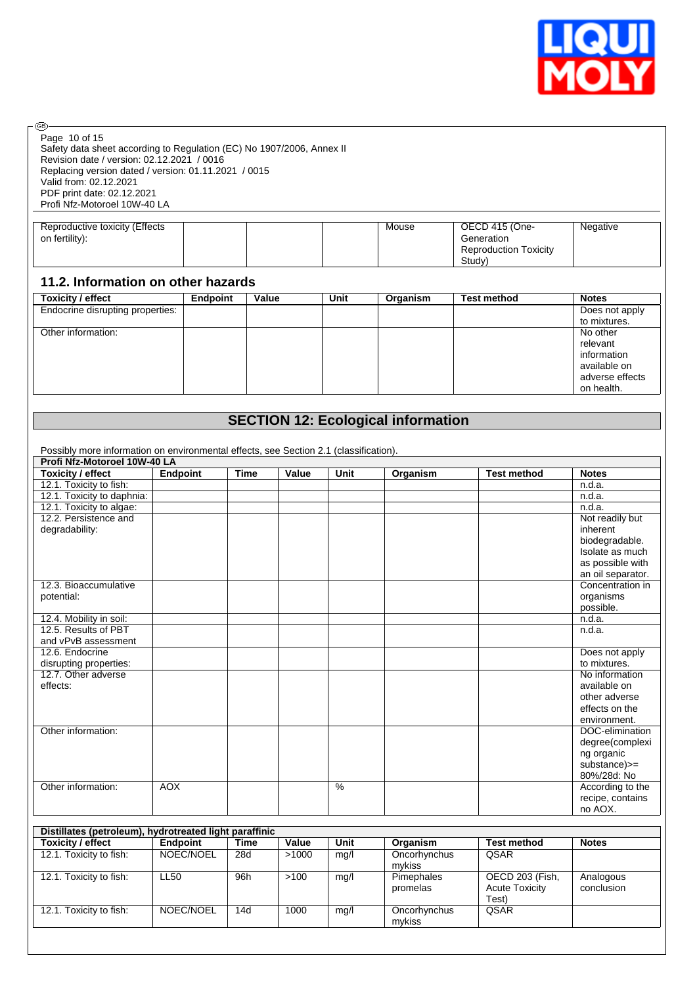

| @ි.                                                                                    |                 |                 |             |       |      |          |                              |                                |
|----------------------------------------------------------------------------------------|-----------------|-----------------|-------------|-------|------|----------|------------------------------|--------------------------------|
| Page 10 of 15<br>Safety data sheet according to Regulation (EC) No 1907/2006, Annex II |                 |                 |             |       |      |          |                              |                                |
| Revision date / version: 02.12.2021 / 0016                                             |                 |                 |             |       |      |          |                              |                                |
| Replacing version dated / version: 01.11.2021 / 0015                                   |                 |                 |             |       |      |          |                              |                                |
| Valid from: 02.12.2021                                                                 |                 |                 |             |       |      |          |                              |                                |
| PDF print date: 02.12.2021                                                             |                 |                 |             |       |      |          |                              |                                |
| Profi Nfz-Motoroel 10W-40 LA                                                           |                 |                 |             |       |      |          |                              |                                |
|                                                                                        |                 |                 |             |       |      |          |                              |                                |
| Reproductive toxicity (Effects                                                         |                 |                 |             |       |      | Mouse    | OECD 415 (One-               | Negative                       |
| on fertility):                                                                         |                 |                 |             |       |      |          | Generation                   |                                |
|                                                                                        |                 |                 |             |       |      |          | <b>Reproduction Toxicity</b> |                                |
|                                                                                        |                 |                 |             |       |      |          | Study)                       |                                |
| 11.2. Information on other hazards                                                     |                 |                 |             |       |      |          |                              |                                |
| <b>Toxicity / effect</b>                                                               |                 | <b>Endpoint</b> |             | Value | Unit | Organism | <b>Test method</b>           | <b>Notes</b>                   |
| Endocrine disrupting properties:                                                       |                 |                 |             |       |      |          |                              | Does not apply                 |
|                                                                                        |                 |                 |             |       |      |          |                              | to mixtures.                   |
| Other information:                                                                     |                 |                 |             |       |      |          |                              | No other                       |
|                                                                                        |                 |                 |             |       |      |          |                              | relevant                       |
|                                                                                        |                 |                 |             |       |      |          |                              | information                    |
|                                                                                        |                 |                 |             |       |      |          |                              | available on                   |
|                                                                                        |                 |                 |             |       |      |          |                              | adverse effects                |
|                                                                                        |                 |                 |             |       |      |          |                              | on health.                     |
|                                                                                        |                 |                 |             |       |      |          |                              |                                |
| <b>SECTION 12: Ecological information</b>                                              |                 |                 |             |       |      |          |                              |                                |
|                                                                                        |                 |                 |             |       |      |          |                              |                                |
|                                                                                        |                 |                 |             |       |      |          |                              |                                |
| Possibly more information on environmental effects, see Section 2.1 (classification).  |                 |                 |             |       |      |          |                              |                                |
| Profi Nfz-Motoroel 10W-40 LA                                                           |                 |                 |             |       |      |          |                              |                                |
| <b>Toxicity / effect</b>                                                               | <b>Endpoint</b> |                 | <b>Time</b> | Value | Unit | Organism | <b>Test method</b>           | <b>Notes</b>                   |
| 12.1. Toxicity to fish:                                                                |                 |                 |             |       |      |          |                              | n.d.a.                         |
| 12.1. Toxicity to daphnia:                                                             |                 |                 |             |       |      |          |                              | n.d.a.                         |
| 12.1. Toxicity to algae:                                                               |                 |                 |             |       |      |          |                              | n.d.a.                         |
| 12.2. Persistence and                                                                  |                 |                 |             |       |      |          |                              | Not readily but                |
| degradability:                                                                         |                 |                 |             |       |      |          |                              | inherent                       |
|                                                                                        |                 |                 |             |       |      |          |                              | biodegradable.                 |
|                                                                                        |                 |                 |             |       |      |          |                              | Isolate as much                |
|                                                                                        |                 |                 |             |       |      |          |                              | as possible with               |
|                                                                                        |                 |                 |             |       |      |          |                              | an oil separator.              |
| 12.3. Bioaccumulative                                                                  |                 |                 |             |       |      |          |                              | Concentration in               |
| potential:                                                                             |                 |                 |             |       |      |          |                              | organisms                      |
|                                                                                        |                 |                 |             |       |      |          |                              | possible.                      |
| 12.4. Mobility in soil:<br>12.5. Results of PBT                                        |                 |                 |             |       |      |          |                              | n.d.a.<br>n.d.a.               |
|                                                                                        |                 |                 |             |       |      |          |                              |                                |
| and vPvB assessment<br>12.6. Endocrine                                                 |                 |                 |             |       |      |          |                              |                                |
|                                                                                        |                 |                 |             |       |      |          |                              | Does not apply<br>to mixtures. |
| disrupting properties:<br>12.7. Other adverse                                          |                 |                 |             |       |      |          |                              | No information                 |
| effects:                                                                               |                 |                 |             |       |      |          |                              | available on                   |
|                                                                                        |                 |                 |             |       |      |          |                              | other adverse                  |
|                                                                                        |                 |                 |             |       |      |          |                              | effects on the                 |
|                                                                                        |                 |                 |             |       |      |          |                              | environment.                   |
| Other information:                                                                     |                 |                 |             |       |      |          |                              | DOC-elimination                |

degree(complexi ng organic substance)>= 80%/28d: No Other information: AOX According to the recipe, contains no AOX. **Distillates (petroleum), hydrotreated light paraffinic Toxicity / effect Endpoint Time Value Unit Organism Test method Notes** 12.1. Toxicity to fish:  $\vert$  NOEC/NOEL  $\vert$  28d  $\vert$  >1000  $\vert$  mg/l  $\vert$  Oncorhynchus QSAR

| Toxicity / effect       | Endpoint  | l ıme | Value | Unit | Organism               | Test method                                       | <b>Notes</b>            |
|-------------------------|-----------|-------|-------|------|------------------------|---------------------------------------------------|-------------------------|
| 12.1. Toxicity to fish: | NOEC/NOEL | 28d   | >1000 | mg/l | Oncorhynchus           | QSAR                                              |                         |
|                         |           |       |       |      | mykiss                 |                                                   |                         |
| 12.1. Toxicity to fish: | LL50      | 96h   | >100  | mg/l | Pimephales<br>promelas | OECD 203 (Fish,<br><b>Acute Toxicity</b><br>Test) | Analogous<br>conclusion |
| 12.1. Toxicity to fish: | NOEC/NOEL | 14d   | 1000  | mq/l | Oncorhynchus<br>mykiss | QSAR                                              |                         |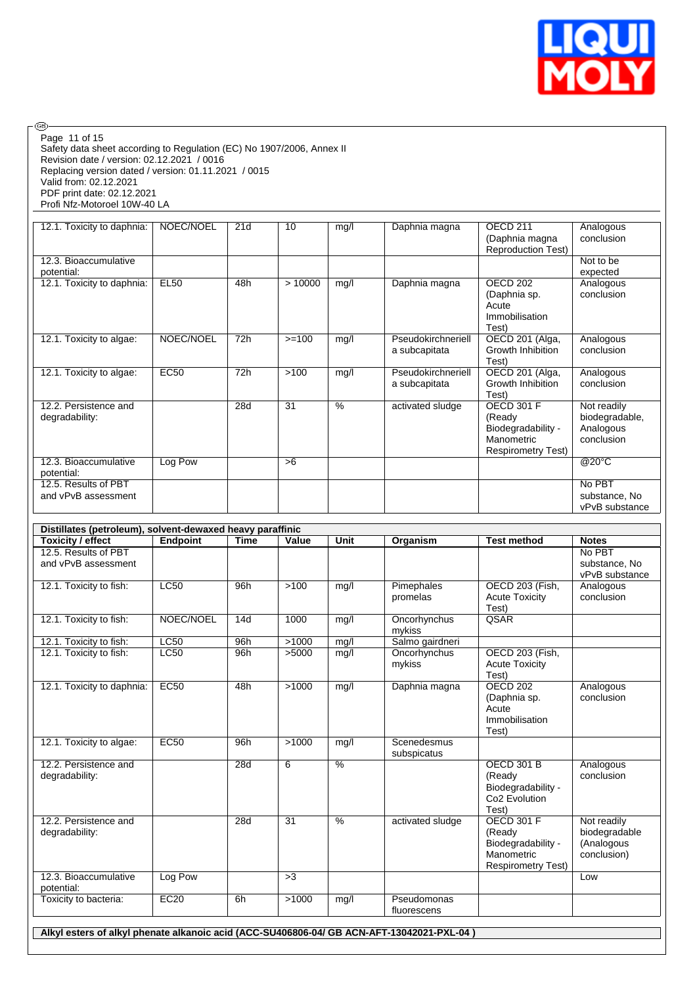

|                                                           |                 |             |                |               |                                           | (Daphnia sp.<br>Acute<br>Immobilisation                                                      | conclusion                                                |
|-----------------------------------------------------------|-----------------|-------------|----------------|---------------|-------------------------------------------|----------------------------------------------------------------------------------------------|-----------------------------------------------------------|
| 12.1. Toxicity to algae:                                  | NOEC/NOEL       | 72h         | $>=100$        | mg/l          | Pseudokirchneriell<br>a subcapitata       | Test)<br>OECD 201 (Alga,<br>Growth Inhibition<br>Test)                                       | Analogous<br>conclusion                                   |
| 12.1. Toxicity to algae:                                  | <b>EC50</b>     | 72h         | >100           | mg/l          | Pseudokirchneriell<br>a subcapitata       | OECD 201 (Alga,<br>Growth Inhibition<br>Test)                                                | Analogous<br>conclusion                                   |
| 12.2. Persistence and<br>degradability:                   |                 | 28d         | 31             | $\frac{9}{6}$ | activated sludge                          | <b>OECD 301 F</b><br>(Ready<br>Biodegradability -<br>Manometric<br><b>Respirometry Test)</b> | Not readily<br>biodegradable,<br>Analogous<br>conclusion  |
| 12.3. Bioaccumulative<br>potential:                       | Log Pow         |             | >6             |               |                                           |                                                                                              | @20°C                                                     |
| 12.5. Results of PBT<br>and vPvB assessment               |                 |             |                |               |                                           |                                                                                              | No PBT<br>substance, No<br>vPvB substance                 |
| Distillates (petroleum), solvent-dewaxed heavy paraffinic |                 |             |                |               |                                           |                                                                                              |                                                           |
| <b>Toxicity / effect</b><br>12.5. Results of PBT          | <b>Endpoint</b> | <b>Time</b> | Value          | Unit          | Organism                                  | <b>Test method</b>                                                                           | <b>Notes</b><br>No PBT                                    |
| and vPvB assessment                                       |                 |             |                |               |                                           |                                                                                              | substance, No<br>vPvB substance                           |
| 12.1. Toxicity to fish:                                   | <b>LC50</b>     | 96h         | >100           | mg/l          | Pimephales<br>promelas                    | OECD 203 (Fish,<br><b>Acute Toxicity</b><br>Test)                                            | Analogous<br>conclusion                                   |
| 12.1. Toxicity to fish:                                   | NOEC/NOEL       | 14d         | 1000           | mg/l          | Oncorhynchus<br>mykiss                    | QSAR                                                                                         |                                                           |
| 12.1. Toxicity to fish:<br>12.1. Toxicity to fish:        | LC50<br>LC50    | 96h<br>96h  | >1000<br>>5000 | ma/l<br>mg/l  | Salmo gairdneri<br>Oncorhynchus<br>mykiss | OECD 203 (Fish,<br><b>Acute Toxicity</b>                                                     |                                                           |
|                                                           | EC50            | 48h         | >1000          | mg/l          | Daphnia magna                             | Test)<br><b>OECD 202</b><br>(Daphnia sp.<br>Acute<br>Immobilisation                          | Analogous<br>conclusion                                   |
| 12.1. Toxicity to daphnia:                                |                 |             |                |               |                                           |                                                                                              |                                                           |
| 12.1. Toxicity to algae:                                  | EC50            | 96h         | >1000          | mg/l          | Scenedesmus<br>subspicatus                | Test)                                                                                        |                                                           |
| 12.2. Persistence and<br>degradability:                   |                 | 28d         | 6              | $\frac{9}{6}$ |                                           | <b>OECD 301 B</b><br>(Ready<br>Biodegradability -<br>Co <sub>2</sub> Evolution               | Analogous<br>conclusion                                   |
| 12.2. Persistence and<br>degradability:                   |                 | 28d         | 31             | $\frac{9}{6}$ | activated sludge                          | Test)<br><b>OECD 301 F</b><br>(Ready<br>Biodegradability -<br>Manometric                     | Not readily<br>biodegradable<br>(Analogous<br>conclusion) |
| 12.3. Bioaccumulative<br>potential:                       | Log Pow         |             | >3             |               |                                           | <b>Respirometry Test)</b>                                                                    | Low                                                       |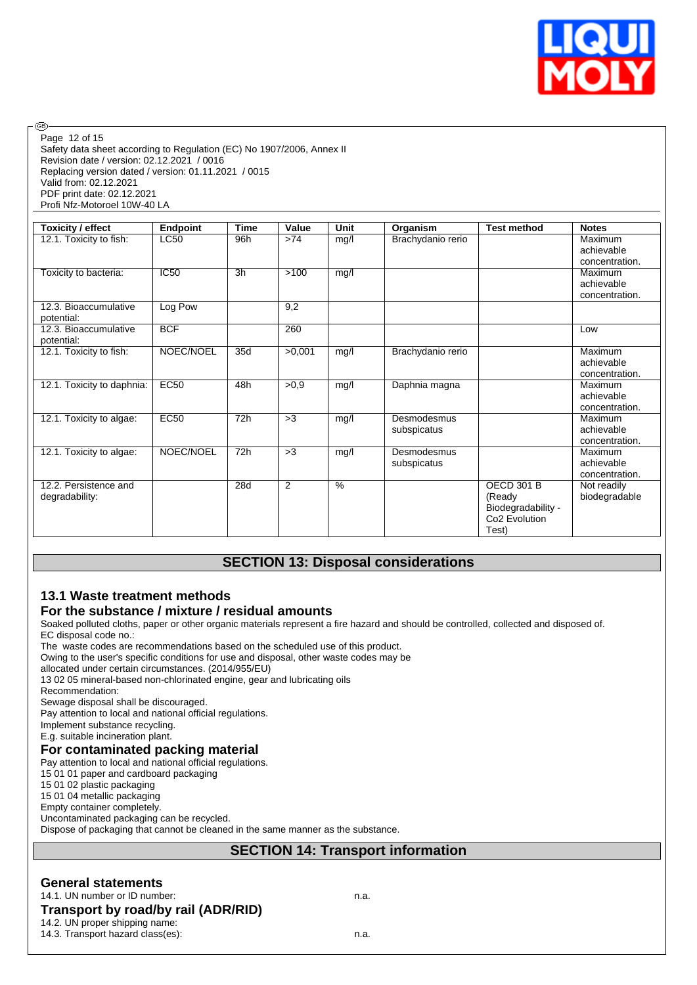

Safety data sheet according to Regulation (EC) No 1907/2006, Annex II Revision date / version: 02.12.2021 / 0016 Replacing version dated / version: 01.11.2021 / 0015 Valid from: 02.12.2021 PDF print date: 02.12.2021 Profi Nfz-Motoroel 10W-40 LA Page 12 of 15

| <b>Toxicity / effect</b>                | <b>Endpoint</b> | <b>Time</b> | Value  | Unit | Organism                   | <b>Test method</b>                                                                      | <b>Notes</b>                            |
|-----------------------------------------|-----------------|-------------|--------|------|----------------------------|-----------------------------------------------------------------------------------------|-----------------------------------------|
| 12.1. Toxicity to fish:                 | <b>LC50</b>     | 96h         | >74    | mg/l | Brachydanio rerio          |                                                                                         | Maximum<br>achievable<br>concentration. |
| Toxicity to bacteria:                   | <b>IC50</b>     | 3h          | >100   | mg/l |                            |                                                                                         | Maximum<br>achievable<br>concentration. |
| 12.3. Bioaccumulative<br>potential:     | Log Pow         |             | 9,2    |      |                            |                                                                                         |                                         |
| 12.3. Bioaccumulative<br>potential:     | <b>BCF</b>      |             | 260    |      |                            |                                                                                         | Low                                     |
| 12.1. Toxicity to fish:                 | NOEC/NOEL       | 35d         | >0.001 | mg/l | Brachydanio rerio          |                                                                                         | Maximum<br>achievable<br>concentration. |
| 12.1. Toxicity to daphnia:              | <b>EC50</b>     | 48h         | >0.9   | mg/l | Daphnia magna              |                                                                                         | Maximum<br>achievable<br>concentration. |
| 12.1. Toxicity to algae:                | <b>EC50</b>     | 72h         | >3     | mg/l | Desmodesmus<br>subspicatus |                                                                                         | Maximum<br>achievable<br>concentration. |
| 12.1. Toxicity to algae:                | NOEC/NOEL       | 72h         | >3     | mg/l | Desmodesmus<br>subspicatus |                                                                                         | Maximum<br>achievable<br>concentration. |
| 12.2. Persistence and<br>degradability: |                 | 28d         | 2      | $\%$ |                            | <b>OECD 301 B</b><br>(Ready<br>Biodegradability -<br>Co <sub>2</sub> Evolution<br>Test) | Not readily<br>biodegradable            |

# **SECTION 13: Disposal considerations**

# **13.1 Waste treatment methods**

# **For the substance / mixture / residual amounts**

Soaked polluted cloths, paper or other organic materials represent a fire hazard and should be controlled, collected and disposed of. EC disposal code no.:

The waste codes are recommendations based on the scheduled use of this product.

Owing to the user's specific conditions for use and disposal, other waste codes may be

allocated under certain circumstances. (2014/955/EU)

13 02 05 mineral-based non-chlorinated engine, gear and lubricating oils

Recommendation:

®

Sewage disposal shall be discouraged.

Pay attention to local and national official regulations.

Implement substance recycling.

E.g. suitable incineration plant.

#### **For contaminated packing material**

Pay attention to local and national official regulations.

15 01 01 paper and cardboard packaging

15 01 02 plastic packaging

15 01 04 metallic packaging

Empty container completely. Uncontaminated packaging can be recycled.

Dispose of packaging that cannot be cleaned in the same manner as the substance.

# **SECTION 14: Transport information**

#### **General statements**

#### 14.1. UN number or ID number: n.a. **Transport by road/by rail (ADR/RID)**

14.2. UN proper shipping name: 14.3. Transport hazard class(es): n.a.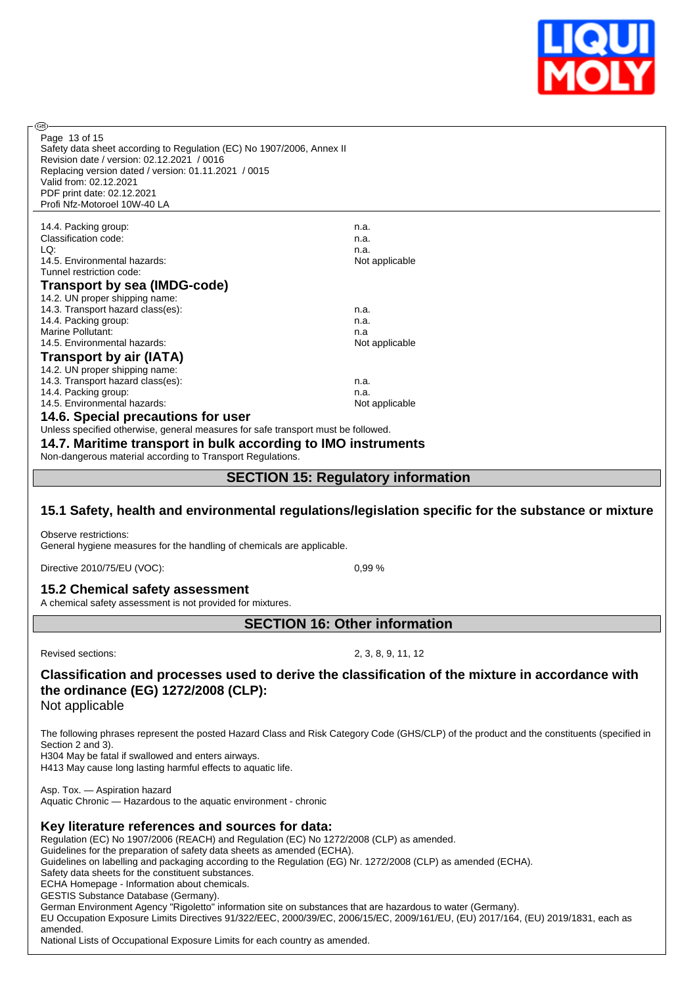

Safety data sheet according to Regulation (EC) No 1907/2006, Annex II Revision date / version: 02.12.2021 / 0016 Replacing version dated / version: 01.11.2021 / 0015 Valid from: 02.12.2021 PDF print date: 02.12.2021 Profi Nfz-Motoroel 10W-40 LA Page 13 of 15

14.4. Packing group: n.a. Classification code: n.a. LQ: n.a. 14.5. Environmental hazards: Not applicable Not applicable Tunnel restriction code: **Transport by sea (IMDG-code)** 14.2. UN proper shipping name: 14.3. Transport hazard class(es): n.a. 14.4. Packing group: n.a. Marine Pollutant: n.a. 14.5. Environmental hazards: Not applicable Not applicable **Transport by air (IATA)** 14.2. UN proper shipping name: 14.3. Transport hazard class(es): n.a. 14.4. Packing group: natural hazards: new state of the state of the state of the natural policies of the number of the number of the number of the number of the number of the number of the number of the number of the numbe 14.5. Environmental hazards: **14.6. Special precautions for user**

Unless specified otherwise, general measures for safe transport must be followed.

**14.7. Maritime transport in bulk according to IMO instruments**

Non-dangerous material according to Transport Regulations.

**SECTION 15: Regulatory information**

#### **15.1 Safety, health and environmental regulations/legislation specific for the substance or mixture**

Observe restrictions: General hygiene measures for the handling of chemicals are applicable.

Directive 2010/75/EU (VOC): 0,99 %

**15.2 Chemical safety assessment** A chemical safety assessment is not provided for mixtures.

**SECTION 16: Other information**

രി

Revised sections: 2, 3, 8, 9, 11, 12

# **Classification and processes used to derive the classification of the mixture in accordance with the ordinance (EG) 1272/2008 (CLP):**

Not applicable

The following phrases represent the posted Hazard Class and Risk Category Code (GHS/CLP) of the product and the constituents (specified in Section 2 and 3).

H304 May be fatal if swallowed and enters airways.

H413 May cause long lasting harmful effects to aquatic life.

Asp. Tox. — Aspiration hazard Aquatic Chronic — Hazardous to the aquatic environment - chronic

#### **Key literature references and sources for data:**

Regulation (EC) No 1907/2006 (REACH) and Regulation (EC) No 1272/2008 (CLP) as amended.

Guidelines for the preparation of safety data sheets as amended (ECHA).

Guidelines on labelling and packaging according to the Regulation (EG) Nr. 1272/2008 (CLP) as amended (ECHA).

Safety data sheets for the constituent substances.

ECHA Homepage - Information about chemicals.

GESTIS Substance Database (Germany).

German Environment Agency "Rigoletto" information site on substances that are hazardous to water (Germany).

EU Occupation Exposure Limits Directives 91/322/EEC, 2000/39/EC, 2006/15/EC, 2009/161/EU, (EU) 2017/164, (EU) 2019/1831, each as amended.

National Lists of Occupational Exposure Limits for each country as amended.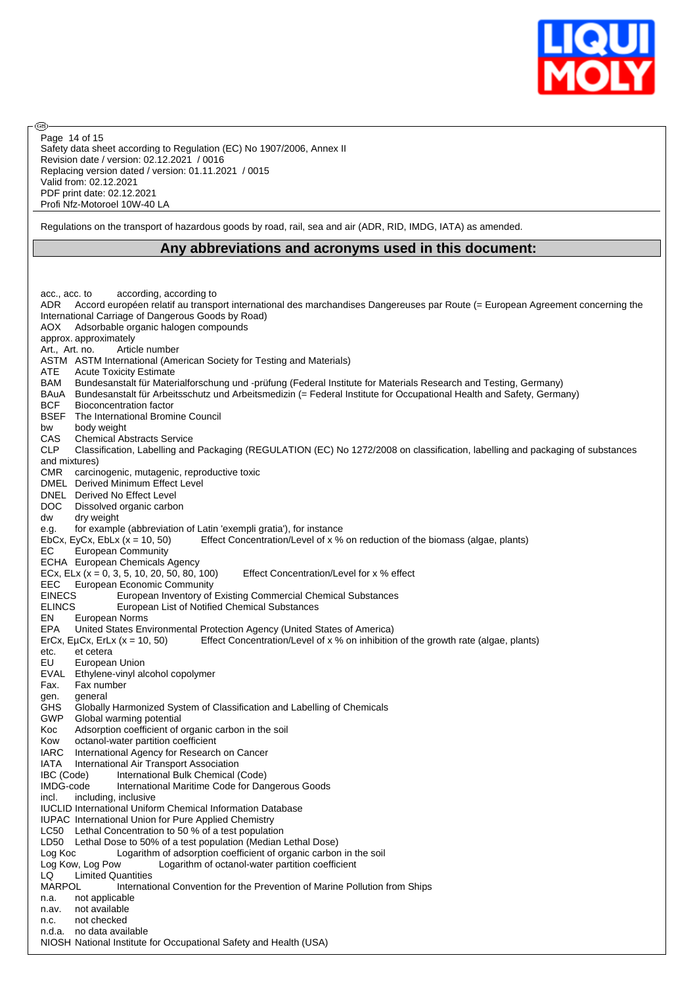

Safety data sheet according to Regulation (EC) No 1907/2006, Annex II Revision date / version: 02.12.2021 / 0016 Replacing version dated / version: 01.11.2021 / 0015 Valid from: 02.12.2021 PDF print date: 02.12.2021 Profi Nfz-Motoroel 10W-40 LA Page 14 of 15

൹

Regulations on the transport of hazardous goods by road, rail, sea and air (ADR, RID, IMDG, IATA) as amended.

#### **Any abbreviations and acronyms used in this document:**

acc., acc. to according, according to<br>ADR Accord européen relatif au transp Accord européen relatif au transport international des marchandises Dangereuses par Route (= European Agreement concerning the International Carriage of Dangerous Goods by Road) AOX Adsorbable organic halogen compounds approx. approximately Art., Art. no. Article number ASTM ASTM International (American Society for Testing and Materials) ATE Acute Toxicity Estimate BAM Bundesanstalt für Materialforschung und -prüfung (Federal Institute for Materials Research and Testing, Germany) BAuA Bundesanstalt für Arbeitsschutz und Arbeitsmedizin (= Federal Institute for Occupational Health and Safety, Germany) BCF Bioconcentration factor BSEF The International Bromine Council bw body weight CAS Chemical Abstracts Service CLP Classification, Labelling and Packaging (REGULATION (EC) No 1272/2008 on classification, labelling and packaging of substances and mixtures) CMR carcinogenic, mutagenic, reproductive toxic DMEL Derived Minimum Effect Level DNEL Derived No Effect Level DOC Dissolved organic carbon dw dry weight e.g. for example (abbreviation of Latin 'exempli gratia'), for instance EbCx, EyCx, EbLx (x = 10, 50) Effect Concentration/Level of x % on reduction of the biomass (algae, plants) EC European Community ECHA European Chemicals Agency ECx, ELx  $(x = 0, 3, 5, 10, 20, 50, 80, 100)$  Effect Concentration/Level for  $x \, \%$  effect EEC European Economic Community EINECS European Inventory of Existing Commercial Chemical Substances ELINCS European List of Notified Chemical Substances EN European Norms EPA United States Environmental Protection Agency (United States of America)<br>ErCx, EuCx, ErLx (x = 10, 50) Effect Concentration/Level of x % on inhibition Effect Concentration/Level of x % on inhibition of the growth rate (algae, plants) etc. et cetera EU European Union EVAL Ethylene-vinyl alcohol copolymer Fax. Fax number gen. general GHS Globally Harmonized System of Classification and Labelling of Chemicals GWP Global warming potential Koc Adsorption coefficient of organic carbon in the soil Kow octanol-water partition coefficient<br>IARC International Agency for Research International Agency for Research on Cancer IATA International Air Transport Association IBC (Code) International Bulk Chemical (Code) IMDG-code International Maritime Code for Dangerous Goods incl. including, inclusive IUCLID International Uniform Chemical Information Database IUPAC International Union for Pure Applied Chemistry LC50 Lethal Concentration to 50 % of a test population LD50 Lethal Dose to 50% of a test population (Median Lethal Dose) Log Koc Logarithm of adsorption coefficient of organic carbon in the soil<br>Log Kow, Log Pow Logarithm of octanol-water partition coefficient Logarithm of octanol-water partition coefficient LQ Limited Quantities MARPOL International Convention for the Prevention of Marine Pollution from Ships n.a. not applicable n.av. not available n.c. not checked n.d.a. no data available NIOSH National Institute for Occupational Safety and Health (USA)